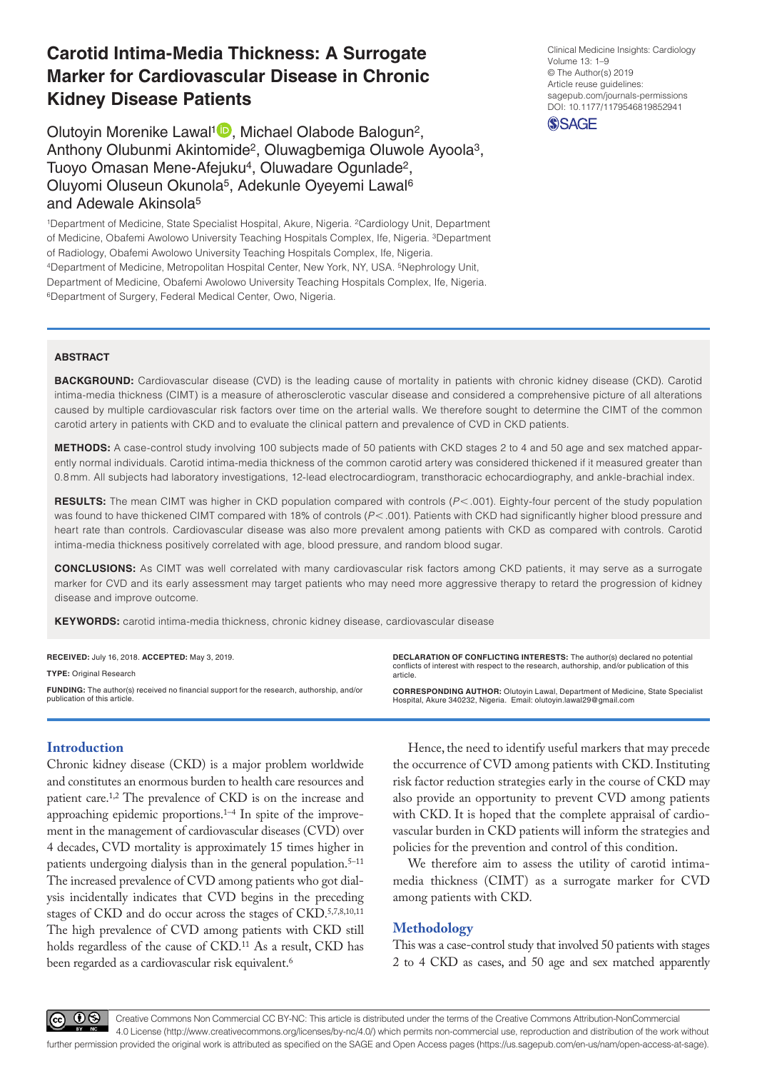# **Carotid Intima-Media Thickness: A Surrogate Marker for Cardiovascular Disease in Chronic Kidney Disease Patients**

Olutoyin Morenike Lawal<sup>1</sup><sup>0</sup>, Michael Olabode Balogun<sup>2</sup>, Anthony Olubunmi Akintomide2, Oluwagbemiga Oluwole Ayoola3, Tuoyo Omasan Mene-Afejuku<sup>4</sup>, Oluwadare Ogunlade<sup>2</sup>, Oluyomi Oluseun Okunola5, Adekunle Oyeyemi Lawal6 and Adewale Akinsola5

1Department of Medicine, State Specialist Hospital, Akure, Nigeria. 2Cardiology Unit, Department of Medicine, Obafemi Awolowo University Teaching Hospitals Complex, Ife, Nigeria. 3Department of Radiology, Obafemi Awolowo University Teaching Hospitals Complex, Ife, Nigeria. 4Department of Medicine, Metropolitan Hospital Center, New York, NY, USA. 5Nephrology Unit, Department of Medicine, Obafemi Awolowo University Teaching Hospitals Complex, Ife, Nigeria. 6Department of Surgery, Federal Medical Center, Owo, Nigeria.

https://doi.org/10.1177/1179546819852941 DOI: 10.1177/1179546819852941 Clinical Medicine Insights: Cardiology Volume 13: 1–9 © The Author(s) 2019 Article reuse guidelines: [sagepub.com/journals-permissions](https://uk.sagepub.com/en-gb/journals-permissions)



#### **ABSTRACT**

**Background:** Cardiovascular disease (CVD) is the leading cause of mortality in patients with chronic kidney disease (CKD). Carotid intima-media thickness (CIMT) is a measure of atherosclerotic vascular disease and considered a comprehensive picture of all alterations caused by multiple cardiovascular risk factors over time on the arterial walls. We therefore sought to determine the CIMT of the common carotid artery in patients with CKD and to evaluate the clinical pattern and prevalence of CVD in CKD patients.

**Methods:** A case-control study involving 100 subjects made of 50 patients with CKD stages 2 to 4 and 50 age and sex matched apparently normal individuals. Carotid intima-media thickness of the common carotid artery was considered thickened if it measured greater than 0.8 mm. All subjects had laboratory investigations, 12-lead electrocardiogram, transthoracic echocardiography, and ankle-brachial index.

**RESULTS:** The mean CIMT was higher in CKD population compared with controls ( $P < .001$ ). Eighty-four percent of the study population was found to have thickened CIMT compared with 18% of controls ( $P$ <.001). Patients with CKD had significantly higher blood pressure and heart rate than controls. Cardiovascular disease was also more prevalent among patients with CKD as compared with controls. Carotid intima-media thickness positively correlated with age, blood pressure, and random blood sugar.

**Conclusions:** As CIMT was well correlated with many cardiovascular risk factors among CKD patients, it may serve as a surrogate marker for CVD and its early assessment may target patients who may need more aggressive therapy to retard the progression of kidney disease and improve outcome.

**Keywords:** carotid intima-media thickness, chronic kidney disease, cardiovascular disease

**RECEIVED:** July 16, 2018. **ACCEPTED:** May 3, 2019. **Type:** Original Research **Funding:** The author(s) received no financial support for the research, authorship, and/or publication of this article **Declaration of conflicting interests:** The author(s) declared no potential conflicts of interest with respect to the research, authorship, and/or publication of this article. **CORRESPONDING AUTHOR:** Olutoyin Lawal, Department of Medicine, State Specialist Hospital, Akure 340232, Nigeria. Email: [olutoyin.lawal29@gmail.com](mailto:olutoyin.lawal29@gmail.com)

# **Introduction**

Chronic kidney disease (CKD) is a major problem worldwide and constitutes an enormous burden to health care resources and patient care.1,2 The prevalence of CKD is on the increase and approaching epidemic proportions.1–4 In spite of the improvement in the management of cardiovascular diseases (CVD) over 4 decades, CVD mortality is approximately 15 times higher in patients undergoing dialysis than in the general population.<sup>5-11</sup> The increased prevalence of CVD among patients who got dialysis incidentally indicates that CVD begins in the preceding stages of CKD and do occur across the stages of CKD.5,7,8,10,11 The high prevalence of CVD among patients with CKD still holds regardless of the cause of CKD.<sup>11</sup> As a result, CKD has been regarded as a cardiovascular risk equivalent.<sup>6</sup>

Hence, the need to identify useful markers that may precede the occurrence of CVD among patients with CKD. Instituting risk factor reduction strategies early in the course of CKD may also provide an opportunity to prevent CVD among patients with CKD. It is hoped that the complete appraisal of cardiovascular burden in CKD patients will inform the strategies and policies for the prevention and control of this condition.

We therefore aim to assess the utility of carotid intimamedia thickness (CIMT) as a surrogate marker for CVD among patients with CKD.

# **Methodology**

This was a case-control study that involved 50 patients with stages 2 to 4 CKD as cases, and 50 age and sex matched apparently

നയ

Creative Commons Non Commercial CC BY-NC: This article is distributed under the terms of the Creative Commons Attribution-NonCommercial 4.0 License (http://www.creativecommons.org/licenses/by-nc/4.0/) which permits non-commercial use, reproduction and distribution of the work without further permission provided the original work is attributed as specified on the SAGE and Open Access pages (https://us.sagepub.com/en-us/nam/open-access-at-sage).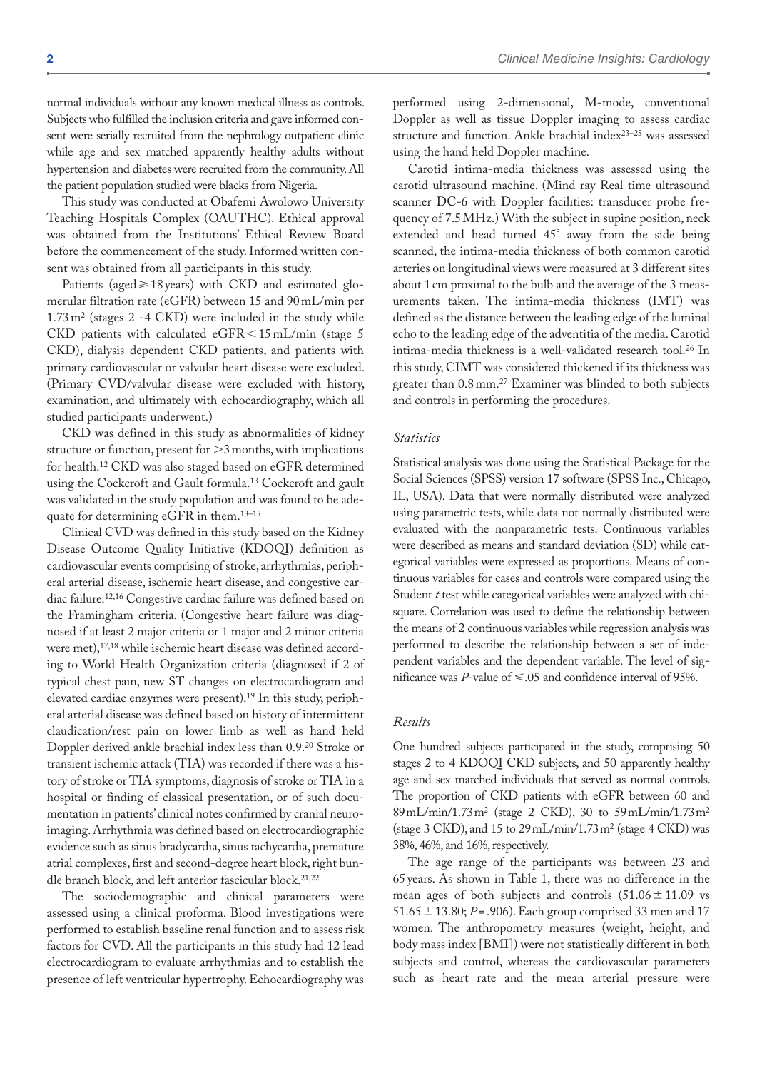normal individuals without any known medical illness as controls. Subjects who fulfilled the inclusion criteria and gave informed consent were serially recruited from the nephrology outpatient clinic while age and sex matched apparently healthy adults without hypertension and diabetes were recruited from the community. All the patient population studied were blacks from Nigeria.

This study was conducted at Obafemi Awolowo University Teaching Hospitals Complex (OAUTHC). Ethical approval was obtained from the Institutions' Ethical Review Board before the commencement of the study. Informed written consent was obtained from all participants in this study.

Patients (aged  $\geq$  18 years) with CKD and estimated glomerular filtration rate (eGFR) between 15 and 90mL/min per  $1.73 \text{ m}^2$  (stages 2 -4 CKD) were included in the study while CKD patients with calculated  $e$ GFR $\leq$ 15mL/min (stage 5 CKD), dialysis dependent CKD patients, and patients with primary cardiovascular or valvular heart disease were excluded. (Primary CVD/valvular disease were excluded with history, examination, and ultimately with echocardiography, which all studied participants underwent.)

CKD was defined in this study as abnormalities of kidney structure or function, present for  $>3$  months, with implications for health.12 CKD was also staged based on eGFR determined using the Cockcroft and Gault formula.13 Cockcroft and gault was validated in the study population and was found to be adequate for determining eGFR in them.13–15

Clinical CVD was defined in this study based on the Kidney Disease Outcome Quality Initiative (KDOQI) definition as cardiovascular events comprising of stroke, arrhythmias, peripheral arterial disease, ischemic heart disease, and congestive cardiac failure.12,16 Congestive cardiac failure was defined based on the Framingham criteria. (Congestive heart failure was diagnosed if at least 2 major criteria or 1 major and 2 minor criteria were met),<sup>17,18</sup> while ischemic heart disease was defined according to World Health Organization criteria (diagnosed if 2 of typical chest pain, new ST changes on electrocardiogram and elevated cardiac enzymes were present).19 In this study, peripheral arterial disease was defined based on history of intermittent claudication/rest pain on lower limb as well as hand held Doppler derived ankle brachial index less than 0.9.20 Stroke or transient ischemic attack (TIA) was recorded if there was a history of stroke or TIA symptoms, diagnosis of stroke or TIA in a hospital or finding of classical presentation, or of such documentation in patients' clinical notes confirmed by cranial neuroimaging. Arrhythmia was defined based on electrocardiographic evidence such as sinus bradycardia, sinus tachycardia, premature atrial complexes, first and second-degree heart block, right bundle branch block, and left anterior fascicular block.<sup>21,22</sup>

The sociodemographic and clinical parameters were assessed using a clinical proforma. Blood investigations were performed to establish baseline renal function and to assess risk factors for CVD. All the participants in this study had 12 lead electrocardiogram to evaluate arrhythmias and to establish the presence of left ventricular hypertrophy. Echocardiography was

performed using 2-dimensional, M-mode, conventional Doppler as well as tissue Doppler imaging to assess cardiac structure and function. Ankle brachial index23–25 was assessed using the hand held Doppler machine.

Carotid intima-media thickness was assessed using the carotid ultrasound machine. (Mind ray Real time ultrasound scanner DC-6 with Doppler facilities: transducer probe frequency of 7.5MHz.) With the subject in supine position, neck extended and head turned 45° away from the side being scanned, the intima-media thickness of both common carotid arteries on longitudinal views were measured at 3 different sites about 1 cm proximal to the bulb and the average of the 3 measurements taken. The intima-media thickness (IMT) was defined as the distance between the leading edge of the luminal echo to the leading edge of the adventitia of the media. Carotid intima-media thickness is a well-validated research tool.26 In this study, CIMT was considered thickened if its thickness was greater than 0.8mm.27 Examiner was blinded to both subjects and controls in performing the procedures.

#### *Statistics*

Statistical analysis was done using the Statistical Package for the Social Sciences (SPSS) version 17 software (SPSS Inc., Chicago, IL, USA). Data that were normally distributed were analyzed using parametric tests, while data not normally distributed were evaluated with the nonparametric tests. Continuous variables were described as means and standard deviation (SD) while categorical variables were expressed as proportions. Means of continuous variables for cases and controls were compared using the Student *t* test while categorical variables were analyzed with chisquare. Correlation was used to define the relationship between the means of 2 continuous variables while regression analysis was performed to describe the relationship between a set of independent variables and the dependent variable. The level of significance was *P*-value of  $\leq 0.05$  and confidence interval of 95%.

# *Results*

One hundred subjects participated in the study, comprising 50 stages 2 to 4 KDOQI CKD subjects, and 50 apparently healthy age and sex matched individuals that served as normal controls. The proportion of CKD patients with eGFR between 60 and 89mL/min/1.73m2 (stage 2 CKD), 30 to 59mL/min/1.73m2 (stage 3 CKD), and 15 to 29mL/min/1.73m2 (stage 4 CKD) was 38%, 46%, and 16%, respectively.

The age range of the participants was between 23 and 65years. As shown in Table 1, there was no difference in the mean ages of both subjects and controls  $(51.06 \pm 11.09 \text{ vs }$ 51.65  $\pm$  13.80; *P*=.906). Each group comprised 33 men and 17 women. The anthropometry measures (weight, height, and body mass index [BMI]) were not statistically different in both subjects and control, whereas the cardiovascular parameters such as heart rate and the mean arterial pressure were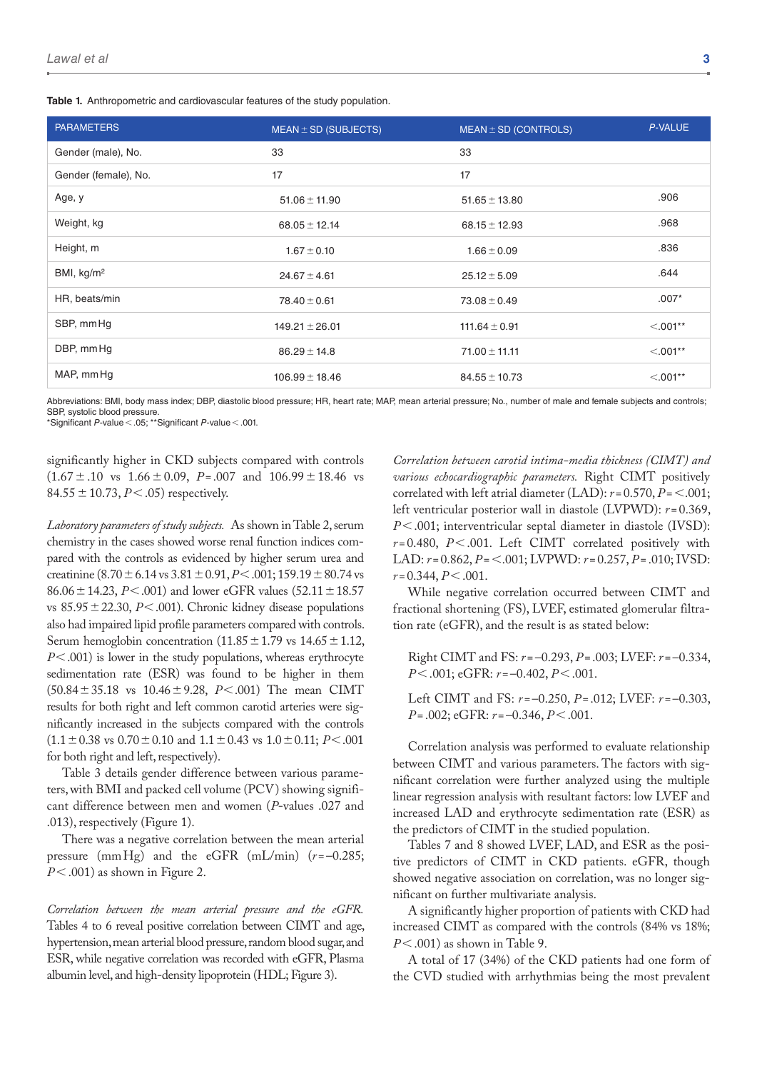**Table 1.** Anthropometric and cardiovascular features of the study population.

| <b>PARAMETERS</b>    | $MEAN \pm SD$ (SUBJECTS) | $MEAN \pm SD$ (CONTROLS) | <b>P-VALUE</b> |
|----------------------|--------------------------|--------------------------|----------------|
| Gender (male), No.   | 33                       | 33                       |                |
| Gender (female), No. | 17                       | 17                       |                |
| Age, y               | $51.06 \pm 11.90$        | $51.65 \pm 13.80$        | .906           |
| Weight, kg           | $68.05 \pm 12.14$        | $68.15 \pm 12.93$        | .968           |
| Height, m            | $1.67 \pm 0.10$          | $1.66 \pm 0.09$          | .836           |
| BMI, $kg/m2$         | $24.67 \pm 4.61$         | $25.12 \pm 5.09$         | .644           |
| HR, beats/min        | $78.40 \pm 0.61$         | $73.08 \pm 0.49$         | $.007*$        |
| SBP, mmHg            | $149.21 \pm 26.01$       | $111.64 \pm 0.91$        | $< .001**$     |
| DBP, mm Hg           | $86.29 \pm 14.8$         | $71.00 \pm 11.11$        | $< 0.001**$    |
| MAP, mmHg            | $106.99 \pm 18.46$       | $84.55 \pm 10.73$        | $< 0.01**$     |

Abbreviations: BMI, body mass index; DBP, diastolic blood pressure; HR, heart rate; MAP, mean arterial pressure; No., number of male and female subjects and controls; SBP, systolic blood pressure.

\*Significant *P*-value<.05; \*\*Significant *P*-value<.001.

significantly higher in CKD subjects compared with controls  $(1.67 \pm .10 \text{ vs } 1.66 \pm 0.09, P = .007 \text{ and } 106.99 \pm 18.46 \text{ vs }$ 84.55±10.73, *P*<.05) respectively.

*Laboratory parameters of study subjects.* As shown in Table 2, serum chemistry in the cases showed worse renal function indices compared with the controls as evidenced by higher serum urea and creatinine  $(8.70 \pm 6.14 \text{ vs } 3.81 \pm 0.91, P < .001; 159.19 \pm 80.74 \text{ vs } 3.81 \pm 0.91, P < .001; 159.19 \pm 80.74 \text{ vs } 3.81 \pm 0.91, P < .001$ 86.06 ± 14.23, *P* < .001) and lower eGFR values (52.11 ± 18.57 vs  $85.95 \pm 22.30$ , *P*<.001). Chronic kidney disease populations also had impaired lipid profile parameters compared with controls. Serum hemoglobin concentration  $(11.85 \pm 1.79 \text{ vs } 14.65 \pm 1.12,$ *P*<.001) is lower in the study populations, whereas erythrocyte sedimentation rate (ESR) was found to be higher in them (50.84±35.18 vs 10.46±9.28, *P*<.001) The mean CIMT results for both right and left common carotid arteries were significantly increased in the subjects compared with the controls  $(1.1 \pm 0.38 \text{ vs } 0.70 \pm 0.10 \text{ and } 1.1 \pm 0.43 \text{ vs } 1.0 \pm 0.11; P < .001$ for both right and left, respectively).

Table 3 details gender difference between various parameters, with BMI and packed cell volume (PCV) showing significant difference between men and women (*P*-values .027 and .013), respectively (Figure 1).

There was a negative correlation between the mean arterial pressure (mmHg) and the eGFR (mL/min) (*r*=–0.285; *P*<.001) as shown in Figure 2.

*Correlation between the mean arterial pressure and the eGFR.* Tables 4 to 6 reveal positive correlation between CIMT and age, hypertension, mean arterial blood pressure, random blood sugar, and ESR, while negative correlation was recorded with eGFR, Plasma albumin level, and high-density lipoprotein (HDL; Figure 3).

*Correlation between carotid intima-media thickness (CIMT) and various echocardiographic parameters.* Right CIMT positively correlated with left atrial diameter (LAD): *r*= 0.570, *P*=<.001; left ventricular posterior wall in diastole (LVPWD):  $r = 0.369$ , *P*<.001; interventricular septal diameter in diastole (IVSD): *r* = 0.480, *P*<.001. Left CIMT correlated positively with LAD: *r* = 0.862, *P*=<.001; LVPWD: *r*=0.257, *P*=.010; IVSD: *r* = 0.344, *P*<.001.

While negative correlation occurred between CIMT and fractional shortening (FS), LVEF, estimated glomerular filtration rate (eGFR), and the result is as stated below:

Right CIMT and FS: *r* =–0.293, *P*=.003; LVEF: *r* = –0.334, *P*<.001; eGFR: *r*=–0.402, *P*<.001.

Left CIMT and FS: *r*=–0.250, *P*=.012; LVEF: *r* = –0.303, *P*= .002; eGFR: *r*=–0.346, *P*<.001.

Correlation analysis was performed to evaluate relationship between CIMT and various parameters. The factors with significant correlation were further analyzed using the multiple linear regression analysis with resultant factors: low LVEF and increased LAD and erythrocyte sedimentation rate (ESR) as the predictors of CIMT in the studied population.

Tables 7 and 8 showed LVEF, LAD, and ESR as the positive predictors of CIMT in CKD patients. eGFR, though showed negative association on correlation, was no longer significant on further multivariate analysis.

A significantly higher proportion of patients with CKD had increased CIMT as compared with the controls (84% vs 18%; *P*<.001) as shown in Table 9.

A total of 17 (34%) of the CKD patients had one form of the CVD studied with arrhythmias being the most prevalent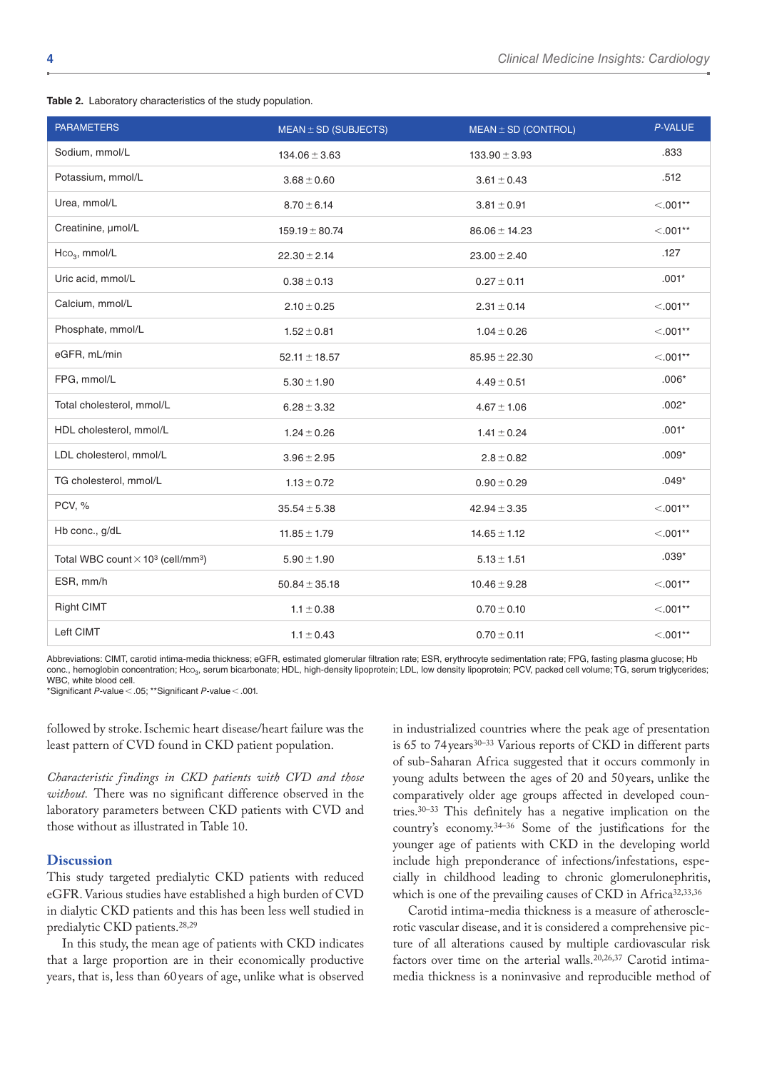| Table 2. Laboratory characteristics of the study population. |  |  |  |  |
|--------------------------------------------------------------|--|--|--|--|
|--------------------------------------------------------------|--|--|--|--|

| <b>PARAMETERS</b>                                                | $MEAN \pm SD$ (SUBJECTS) | $MEAN \pm SD$ (CONTROL) | P-VALUE    |
|------------------------------------------------------------------|--------------------------|-------------------------|------------|
| Sodium, mmol/L                                                   | $134.06 \pm 3.63$        | $133.90 \pm 3.93$       | .833       |
| Potassium, mmol/L                                                | $3.68 \pm 0.60$          | $3.61 \pm 0.43$         | .512       |
| Urea, mmol/L                                                     | $8.70 \pm 6.14$          | $3.81 \pm 0.91$         | $< .001**$ |
| Creatinine, µmol/L                                               | $159.19 \pm 80.74$       | $86.06 \pm 14.23$       | $< 0.01**$ |
| $Hco3$ , mmol/L                                                  | $22.30 \pm 2.14$         | $23.00 \pm 2.40$        | .127       |
| Uric acid, mmol/L                                                | $0.38 \pm 0.13$          | $0.27 \pm 0.11$         | $.001*$    |
| Calcium, mmol/L                                                  | $2.10 \pm 0.25$          | $2.31 \pm 0.14$         | $< .001**$ |
| Phosphate, mmol/L                                                | $1.52 \pm 0.81$          | $1.04 \pm 0.26$         | $< 0.01**$ |
| eGFR, mL/min                                                     | $52.11 \pm 18.57$        | $85.95 \pm 22.30$       | $< 0.01**$ |
| FPG, mmol/L                                                      | $5.30 \pm 1.90$          | $4.49 \pm 0.51$         | $.006*$    |
| Total cholesterol, mmol/L                                        | $6.28 \pm 3.32$          | $4.67 \pm 1.06$         | $.002*$    |
| HDL cholesterol, mmol/L                                          | $1.24 \pm 0.26$          | $1.41 \pm 0.24$         | $.001*$    |
| LDL cholesterol, mmol/L                                          | $3.96 \pm 2.95$          | $2.8 \pm 0.82$          | $.009*$    |
| TG cholesterol, mmol/L                                           | $1.13 \pm 0.72$          | $0.90 \pm 0.29$         | $.049*$    |
| PCV, %                                                           | $35.54 \pm 5.38$         | $42.94 \pm 3.35$        | $< .001**$ |
| Hb conc., g/dL                                                   | $11.85 \pm 1.79$         | $14.65 \pm 1.12$        | $< .001**$ |
| Total WBC count $\times$ 10 <sup>3</sup> (cell/mm <sup>3</sup> ) | $5.90 \pm 1.90$          | $5.13 \pm 1.51$         | $.039*$    |
| ESR, mm/h                                                        | $50.84 \pm 35.18$        | $10.46 \pm 9.28$        | $< 0.01**$ |
| <b>Right CIMT</b>                                                | $1.1 \pm 0.38$           | $0.70 \pm 0.10$         | $< .001**$ |
| Left CIMT                                                        | $1.1 \pm 0.43$           | $0.70 \pm 0.11$         | $< 0.01**$ |

Abbreviations: CIMT, carotid intima-media thickness; eGFR, estimated glomerular filtration rate; ESR, erythrocyte sedimentation rate; FPG, fasting plasma glucose; Hb conc., hemoglobin concentration; Hco<sub>3</sub>, serum bicarbonate; HDL, high-density lipoprotein; LDL, low density lipoprotein; PCV, packed cell volume; TG, serum triglycerides; WBC, white blood cell.

\*Significant *P*-value<.05; \*\*Significant *P*-value<.001.

followed by stroke. Ischemic heart disease/heart failure was the least pattern of CVD found in CKD patient population.

*Characteristic findings in CKD patients with CVD and those without.* There was no significant difference observed in the laboratory parameters between CKD patients with CVD and those without as illustrated in Table 10.

# **Discussion**

This study targeted predialytic CKD patients with reduced eGFR. Various studies have established a high burden of CVD in dialytic CKD patients and this has been less well studied in predialytic CKD patients.28,29

In this study, the mean age of patients with CKD indicates that a large proportion are in their economically productive years, that is, less than 60years of age, unlike what is observed

in industrialized countries where the peak age of presentation is 65 to 74 years<sup>30–33</sup> Various reports of CKD in different parts of sub-Saharan Africa suggested that it occurs commonly in young adults between the ages of 20 and 50 years, unlike the comparatively older age groups affected in developed countries.30–33 This definitely has a negative implication on the country's economy.34–36 Some of the justifications for the younger age of patients with CKD in the developing world include high preponderance of infections/infestations, especially in childhood leading to chronic glomerulonephritis, which is one of the prevailing causes of CKD in Africa<sup>32,33,36</sup>

Carotid intima-media thickness is a measure of atherosclerotic vascular disease, and it is considered a comprehensive picture of all alterations caused by multiple cardiovascular risk factors over time on the arterial walls.<sup>20,26,37</sup> Carotid intimamedia thickness is a noninvasive and reproducible method of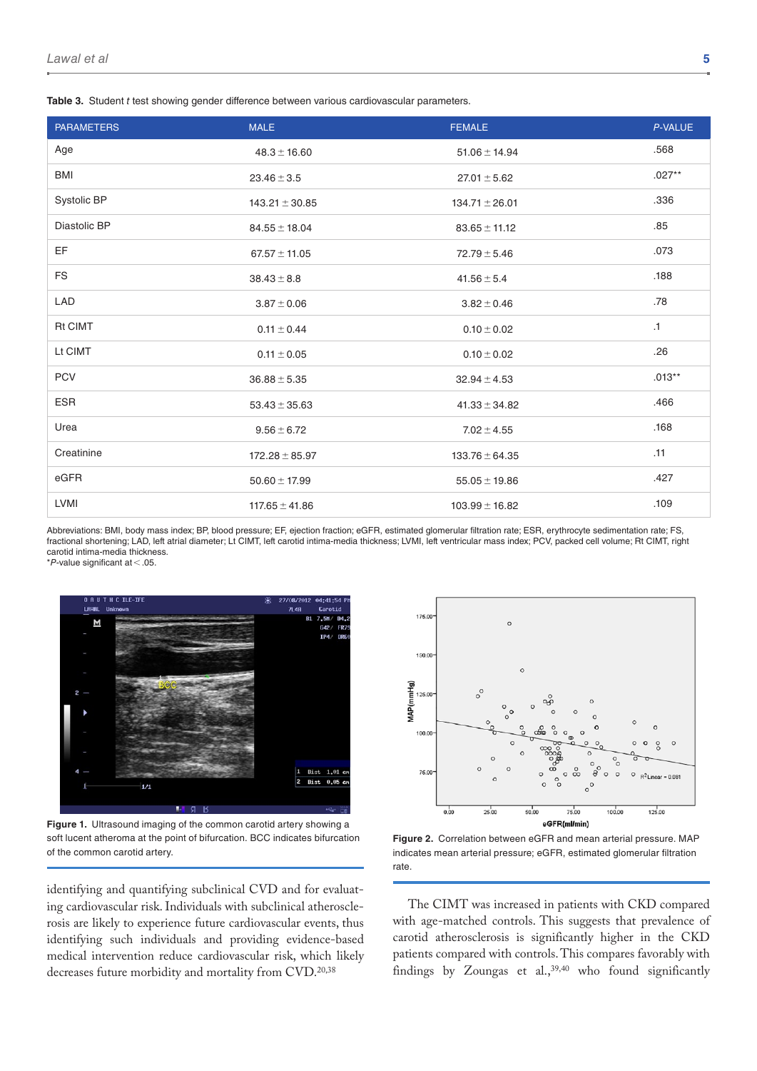**Table 3.** Student *t* test showing gender difference between various cardiovascular parameters.

| <b>PARAMETERS</b> | <b>MALE</b>        | <b>FEMALE</b>      | P-VALUE   |
|-------------------|--------------------|--------------------|-----------|
| Age               | $48.3 \pm 16.60$   | $51.06 \pm 14.94$  | .568      |
| <b>BMI</b>        | $23.46 \pm 3.5$    | $27.01 \pm 5.62$   | $.027**$  |
| Systolic BP       | $143.21 \pm 30.85$ | $134.71 \pm 26.01$ | .336      |
| Diastolic BP      | $84.55 \pm 18.04$  | $83.65 \pm 11.12$  | .85       |
| EF                | $67.57 \pm 11.05$  | $72.79 \pm 5.46$   | .073      |
| <b>FS</b>         | $38.43 \pm 8.8$    | $41.56 \pm 5.4$    | .188      |
| LAD               | $3.87 \pm 0.06$    | $3.82 \pm 0.46$    | .78       |
| <b>Rt CIMT</b>    | $0.11 \pm 0.44$    | $0.10 \pm 0.02$    | $\cdot$ 1 |
| Lt CIMT           | $0.11 \pm 0.05$    | $0.10 \pm 0.02$    | .26       |
| <b>PCV</b>        | $36.88 \pm 5.35$   | $32.94 \pm 4.53$   | $.013**$  |
| <b>ESR</b>        | $53.43 \pm 35.63$  | $41.33 \pm 34.82$  | .466      |
| Urea              | $9.56 \pm 6.72$    | $7.02 \pm 4.55$    | .168      |
| Creatinine        | $172.28 \pm 85.97$ | $133.76 \pm 64.35$ | .11       |
| eGFR              | $50.60 \pm 17.99$  | $55.05 \pm 19.86$  | .427      |
| <b>LVMI</b>       | $117.65 \pm 41.86$ | $103.99 \pm 16.82$ | .109      |

Abbreviations: BMI, body mass index; BP, blood pressure; EF, ejection fraction; eGFR, estimated glomerular filtration rate; ESR, erythrocyte sedimentation rate; ES fractional shortening; LAD, left atrial diameter; Lt CIMT, left carotid intima-media thickness; LVMI, left ventricular mass index; PCV, packed cell volume; Rt CIMT, right carotid intima-media thickness.

\**P*-value significant at<.05.



**Figure 1.** Ultrasound imaging of the common carotid artery showing a soft lucent atheroma at the point of bifurcation. BCC indicates bifurcation of the common carotid artery.

identifying and quantifying subclinical CVD and for evaluating cardiovascular risk. Individuals with subclinical atherosclerosis are likely to experience future cardiovascular events, thus identifying such individuals and providing evidence-based medical intervention reduce cardiovascular risk, which likely decreases future morbidity and mortality from CVD.20,38



**Figure 2.** Correlation between eGFR and mean arterial pressure. MAP indicates mean arterial pressure; eGFR, estimated glomerular filtration rate.

The CIMT was increased in patients with CKD compared with age-matched controls. This suggests that prevalence of carotid atherosclerosis is significantly higher in the CKD patients compared with controls. This compares favorably with findings by Zoungas et al.,39,40 who found significantly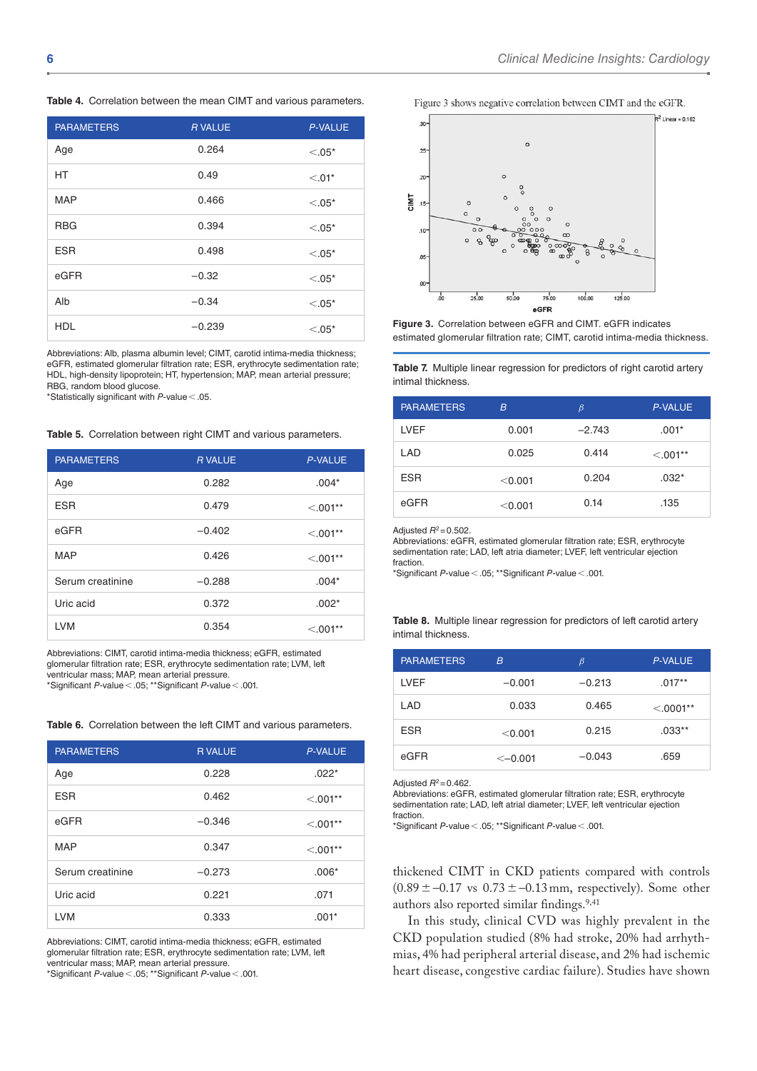**Table 4.** Correlation between the mean CIMT and various parameters.

| <b>PARAMETERS</b> | <b>R VALUE</b> | <b>P-VALUE</b> |
|-------------------|----------------|----------------|
| Age               | 0.264          | $< 0.05*$      |
| <b>HT</b>         | 0.49           | $< 0.01*$      |
| <b>MAP</b>        | 0.466          | $< 0.05*$      |
| <b>RBG</b>        | 0.394          | $< 0.05*$      |
| <b>ESR</b>        | 0.498          | $< 0.05*$      |
| eGFR              | $-0.32$        | $< 0.05*$      |
| Alb               | $-0.34$        | $< 0.05*$      |
| <b>HDL</b>        | $-0.239$       | $< 0.05*$      |

Abbreviations: Alb, plasma albumin level; CIMT, carotid intima-media thickness; eGFR, estimated glomerular filtration rate; ESR, erythrocyte sedimentation rate; HDL, high-density lipoprotein; HT, hypertension; MAP, mean arterial pressure; RBG, random blood glucose.

\*Statistically significant with *P*-value<.05.

**Table 5.** Correlation between right CIMT and various parameters.

| <b>PARAMETERS</b> | <b>R VALUE</b> | <b>P-VALUE</b> |
|-------------------|----------------|----------------|
| Age               | 0.282          | $.004*$        |
| <b>ESR</b>        | 0.479          | $< 0.01**$     |
| eGFR              | $-0.402$       | $< 0.01**$     |
| <b>MAP</b>        | 0.426          | $< 0.01**$     |
| Serum creatinine  | $-0.288$       | $.004*$        |
| Uric acid         | 0.372          | $.002*$        |
| <b>LVM</b>        | 0.354          | $< 0.01**$     |

Abbreviations: CIMT, carotid intima-media thickness; eGFR, estimated glomerular filtration rate; ESR, erythrocyte sedimentation rate; LVM, left ventricular mass; MAP, mean arterial pressure.

\*Significant *P*-value<.05; \*\*Significant *P*-value<.001.

| <b>PARAMETERS</b> | <b>RVALUE</b> | <b>P-VALUE</b> |
|-------------------|---------------|----------------|
| Age               | 0.228         | $.022*$        |
| <b>ESR</b>        | 0.462         | $< .001**$     |
| eGFR              | $-0.346$      | $< 0.01**$     |
| <b>MAP</b>        | 0.347         | $< 0.01**$     |
| Serum creatinine  | $-0.273$      | $.006*$        |
| Uric acid         | 0.221         | .071           |
| <b>LVM</b>        | 0.333         | $.001*$        |

**Table 6.** Correlation between the left CIMT and various parameters.

Abbreviations: CIMT, carotid intima-media thickness; eGFR, estimated glomerular filtration rate; ESR, erythrocyte sedimentation rate; LVM, left ventricular mass; MAP, mean arterial pressure.

\*Significant *P*-value<.05; \*\*Significant *P*-value<.001.

Figure 3 shows negative correlation between CIMT and the eGFR.





**Table 7.** Multiple linear regression for predictors of right carotid artery intimal thickness.

| <b>PARAMETERS</b> | B       | $\beta$  | <b>P-VALUE</b> |
|-------------------|---------|----------|----------------|
| LVEF              | 0.001   | $-2.743$ | $.001*$        |
| LAD               | 0.025   | 0.414    | $< 0.01**$     |
| <b>ESR</b>        | < 0.001 | 0.204    | $.032*$        |
| eGFR              | < 0.001 | 0.14     | .135           |

Adjusted *R*2=0.502.

Abbreviations: eGFR, estimated glomerular filtration rate; ESR, erythrocyte sedimentation rate; LAD, left atria diameter; LVEF, left ventricular ejection fraction.

\*Significant *P*-value<.05; \*\*Significant *P*-value<.001.

**Table 8.** Multiple linear regression for predictors of left carotid artery intimal thickness.

| <b>PARAMETERS</b> | B             | $\beta$  | <b>P-VALUE</b> |
|-------------------|---------------|----------|----------------|
| LVEF              | $-0.001$      | $-0.213$ | $.017**$       |
| I AD              | 0.033         | 0.465    | $< 0.0001**$   |
| <b>ESR</b>        | < 0.001       | 0.215    | $.033**$       |
| eGFR              | $\leq -0.001$ | $-0.043$ | .659           |

Adjusted *R*2=0.462.

Abbreviations: eGFR, estimated glomerular filtration rate; ESR, erythrocyte sedimentation rate; LAD, left atrial diameter; LVEF, left ventricular ejection fraction.

\*Significant *P*-value<.05; \*\*Significant *P*-value<.001.

thickened CIMT in CKD patients compared with controls  $(0.89 \pm -0.17 \text{ vs } 0.73 \pm -0.13 \text{ mm})$ , respectively). Some other authors also reported similar findings.<sup>9,41</sup>

In this study, clinical CVD was highly prevalent in the CKD population studied (8% had stroke, 20% had arrhythmias, 4% had peripheral arterial disease, and 2% had ischemic heart disease, congestive cardiac failure). Studies have shown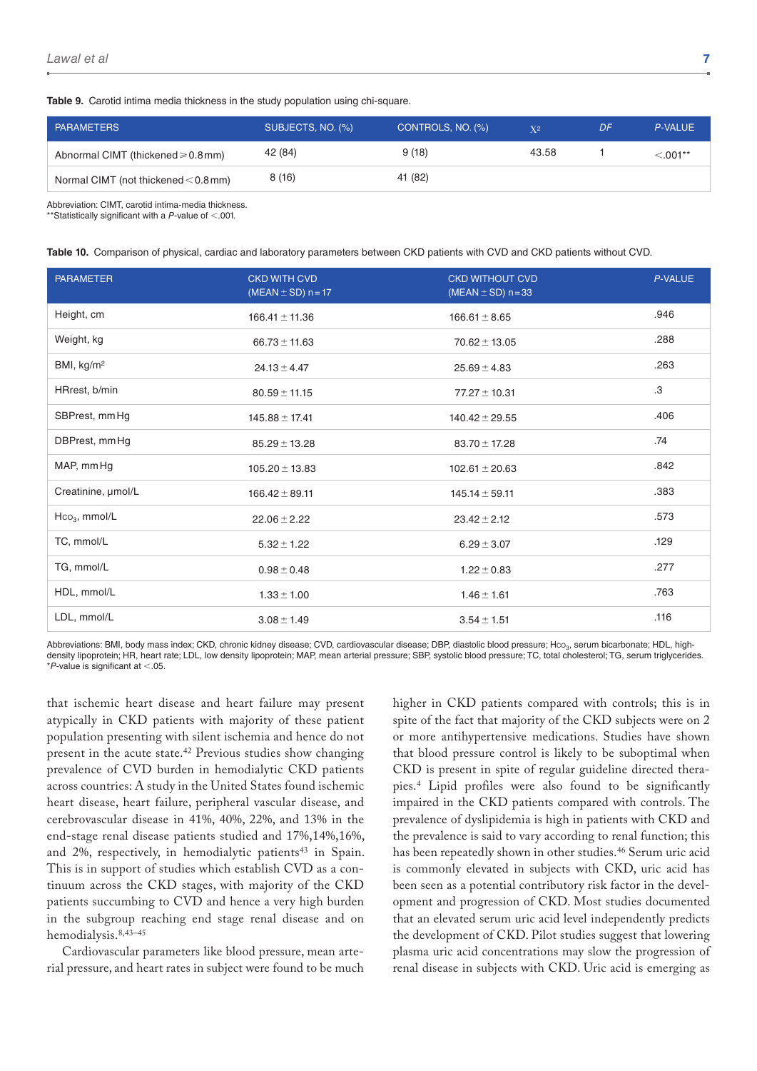**Table 9.** Carotid intima media thickness in the study population using chi-square.

| <b>PARAMETERS</b>                       | SUBJECTS, NO. (%) | CONTROLS, NO. (%) | X <sup>2</sup> | DF | P-VALUE    |
|-----------------------------------------|-------------------|-------------------|----------------|----|------------|
| Abnormal CIMT (thickened $\geq 0.8$ mm) | 42 (84)           | 9(18)             | 43.58          |    | $< 0.01**$ |
| Normal CIMT (not thickened $<$ 0.8 mm)  | 8(16)             | 41 (82)           |                |    |            |

Abbreviation: CIMT, carotid intima-media thickness.

\*\*Statistically significant with a *P*-value of <.001.

**Table 10.** Comparison of physical, cardiac and laboratory parameters between CKD patients with CVD and CKD patients without CVD.

| <b>PARAMETER</b>       | <b>CKD WITH CVD</b><br>(MEAN $\pm$ SD) n = 17 | <b>CKD WITHOUT CVD</b><br>(MEAN $\pm$ SD) n = 33 | P-VALUE |
|------------------------|-----------------------------------------------|--------------------------------------------------|---------|
| Height, cm             | $166.41 \pm 11.36$                            | $166.61 \pm 8.65$                                | .946    |
| Weight, kg             | $66.73 \pm 11.63$                             | $70.62 \pm 13.05$                                | .288    |
| BMI, kg/m <sup>2</sup> | $24.13 \pm 4.47$                              | $25.69 \pm 4.83$                                 | .263    |
| HRrest, b/min          | $80.59 \pm 11.15$                             | $77.27 \pm 10.31$                                | .3      |
| SBPrest, mm Hg         | $145.88 \pm 17.41$                            | $140.42 \pm 29.55$                               | .406    |
| DBPrest, mmHg          | $85.29 \pm 13.28$                             | $83.70 \pm 17.28$                                | .74     |
| MAP, mmHg              | $105.20 \pm 13.83$                            | $102.61 \pm 20.63$                               | .842    |
| Creatinine, µmol/L     | $166.42 \pm 89.11$                            | $145.14 \pm 59.11$                               | .383    |
| $Hco3$ , mmol/L        | $22.06 \pm 2.22$                              | $23.42 \pm 2.12$                                 | .573    |
| TC, mmol/L             | $5.32 \pm 1.22$                               | $6.29 \pm 3.07$                                  | .129    |
| TG, mmol/L             | $0.98 \pm 0.48$                               | $1.22 \pm 0.83$                                  | .277    |
| HDL, mmol/L            | $1.33 \pm 1.00$                               | $1.46 \pm 1.61$                                  | .763    |
| LDL, mmol/L            | $3.08 \pm 1.49$                               | $3.54 \pm 1.51$                                  | .116    |

Abbreviations: BMI, body mass index; CKD, chronic kidney disease; CVD, cardiovascular disease; DBP, diastolic blood pressure; Hco<sub>3</sub>, serum bicarbonate; HDL, highdensity lipoprotein; HR, heart rate; LDL, low density lipoprotein; MAP, mean arterial pressure; SBP, systolic blood pressure; TC, total cholesterol; TG, serum triglycerides. \**P*-value is significant at <.05.

that ischemic heart disease and heart failure may present atypically in CKD patients with majority of these patient population presenting with silent ischemia and hence do not present in the acute state.42 Previous studies show changing prevalence of CVD burden in hemodialytic CKD patients across countries: A study in the United States found ischemic heart disease, heart failure, peripheral vascular disease, and cerebrovascular disease in 41%, 40%, 22%, and 13% in the end-stage renal disease patients studied and 17%,14%,16%, and  $2\%$ , respectively, in hemodialytic patients<sup>43</sup> in Spain. This is in support of studies which establish CVD as a continuum across the CKD stages, with majority of the CKD patients succumbing to CVD and hence a very high burden in the subgroup reaching end stage renal disease and on hemodialysis.8,43–45

Cardiovascular parameters like blood pressure, mean arterial pressure, and heart rates in subject were found to be much

higher in CKD patients compared with controls; this is in spite of the fact that majority of the CKD subjects were on 2 or more antihypertensive medications. Studies have shown that blood pressure control is likely to be suboptimal when CKD is present in spite of regular guideline directed therapies.4 Lipid profiles were also found to be significantly impaired in the CKD patients compared with controls. The prevalence of dyslipidemia is high in patients with CKD and the prevalence is said to vary according to renal function; this has been repeatedly shown in other studies.<sup>46</sup> Serum uric acid is commonly elevated in subjects with CKD, uric acid has been seen as a potential contributory risk factor in the development and progression of CKD. Most studies documented that an elevated serum uric acid level independently predicts the development of CKD. Pilot studies suggest that lowering plasma uric acid concentrations may slow the progression of renal disease in subjects with CKD. Uric acid is emerging as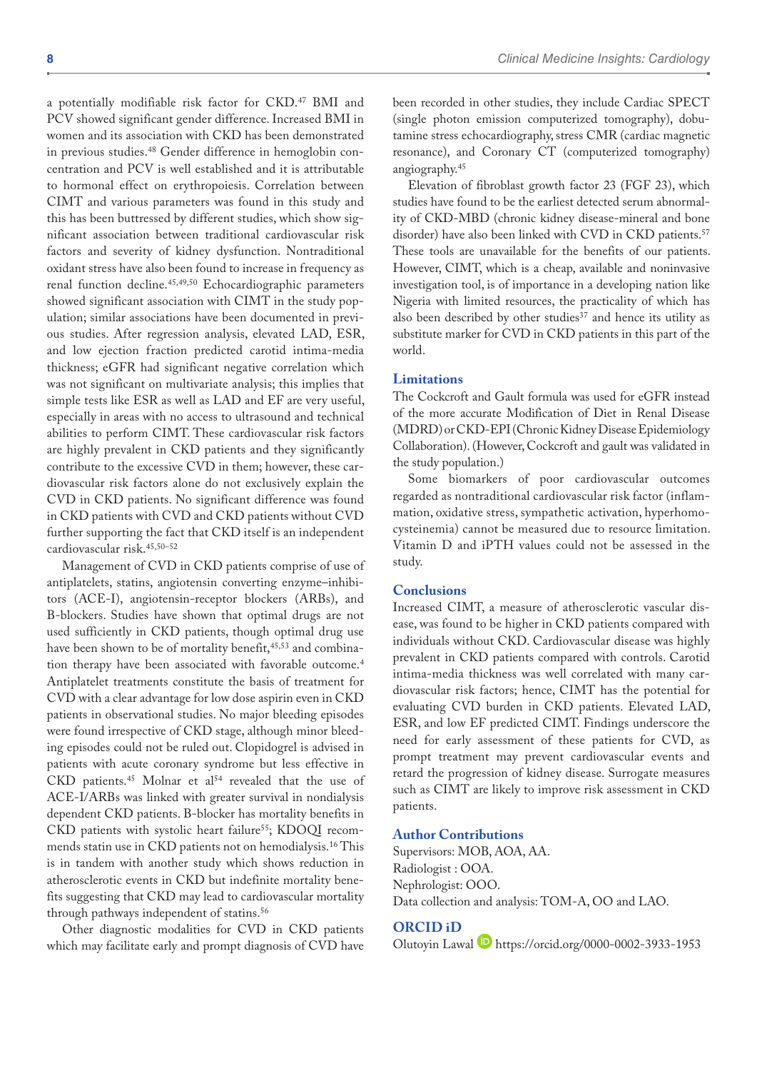a potentially modifiable risk factor for CKD.47 BMI and PCV showed significant gender difference. Increased BMI in women and its association with CKD has been demonstrated in previous studies.48 Gender difference in hemoglobin concentration and PCV is well established and it is attributable to hormonal effect on erythropoiesis. Correlation between CIMT and various parameters was found in this study and this has been buttressed by different studies, which show significant association between traditional cardiovascular risk factors and severity of kidney dysfunction. Nontraditional oxidant stress have also been found to increase in frequency as renal function decline.45,49,50 Echocardiographic parameters showed significant association with CIMT in the study population; similar associations have been documented in previous studies. After regression analysis, elevated LAD, ESR, and low ejection fraction predicted carotid intima-media thickness; eGFR had significant negative correlation which was not significant on multivariate analysis; this implies that simple tests like ESR as well as LAD and EF are very useful, especially in areas with no access to ultrasound and technical abilities to perform CIMT. These cardiovascular risk factors are highly prevalent in CKD patients and they significantly contribute to the excessive CVD in them; however, these cardiovascular risk factors alone do not exclusively explain the CVD in CKD patients. No significant difference was found in CKD patients with CVD and CKD patients without CVD further supporting the fact that CKD itself is an independent cardiovascular risk.45,50–52

Management of CVD in CKD patients comprise of use of antiplatelets, statins, angiotensin converting enzyme–inhibitors (ACE-I), angiotensin-receptor blockers (ARBs), and B-blockers. Studies have shown that optimal drugs are not used sufficiently in CKD patients, though optimal drug use have been shown to be of mortality benefit,<sup>45,53</sup> and combination therapy have been associated with favorable outcome.4 Antiplatelet treatments constitute the basis of treatment for CVD with a clear advantage for low dose aspirin even in CKD patients in observational studies. No major bleeding episodes were found irrespective of CKD stage, although minor bleeding episodes could not be ruled out. Clopidogrel is advised in patients with acute coronary syndrome but less effective in CKD patients.<sup>45</sup> Molnar et al<sup>54</sup> revealed that the use of ACE-I/ARBs was linked with greater survival in nondialysis dependent CKD patients. B-blocker has mortality benefits in CKD patients with systolic heart failure<sup>55</sup>; KDOQI recommends statin use in CKD patients not on hemodialysis.16 This is in tandem with another study which shows reduction in atherosclerotic events in CKD but indefinite mortality benefits suggesting that CKD may lead to cardiovascular mortality through pathways independent of statins.56

Other diagnostic modalities for CVD in CKD patients which may facilitate early and prompt diagnosis of CVD have been recorded in other studies, they include Cardiac SPECT (single photon emission computerized tomography), dobutamine stress echocardiography, stress CMR (cardiac magnetic resonance), and Coronary CT (computerized tomography) angiography.45

Elevation of fibroblast growth factor 23 (FGF 23), which studies have found to be the earliest detected serum abnormality of CKD-MBD (chronic kidney disease-mineral and bone disorder) have also been linked with CVD in CKD patients.<sup>57</sup> These tools are unavailable for the benefits of our patients. However, CIMT, which is a cheap, available and noninvasive investigation tool, is of importance in a developing nation like Nigeria with limited resources, the practicality of which has also been described by other studies<sup>37</sup> and hence its utility as substitute marker for CVD in CKD patients in this part of the world.

#### **Limitations**

The Cockcroft and Gault formula was used for eGFR instead of the more accurate Modification of Diet in Renal Disease (MDRD) or CKD-EPI (Chronic Kidney Disease Epidemiology Collaboration). (However, Cockcroft and gault was validated in the study population.)

Some biomarkers of poor cardiovascular outcomes regarded as nontraditional cardiovascular risk factor (inflammation, oxidative stress, sympathetic activation, hyperhomocysteinemia) cannot be measured due to resource limitation. Vitamin D and iPTH values could not be assessed in the study.

# **Conclusions**

Increased CIMT, a measure of atherosclerotic vascular disease, was found to be higher in CKD patients compared with individuals without CKD. Cardiovascular disease was highly prevalent in CKD patients compared with controls. Carotid intima-media thickness was well correlated with many cardiovascular risk factors; hence, CIMT has the potential for evaluating CVD burden in CKD patients. Elevated LAD, ESR, and low EF predicted CIMT. Findings underscore the need for early assessment of these patients for CVD, as prompt treatment may prevent cardiovascular events and retard the progression of kidney disease. Surrogate measures such as CIMT are likely to improve risk assessment in CKD patients.

#### **Author Contributions**

Supervisors: MOB, AOA, AA. Radiologist : OOA. Nephrologist: OOO. Data collection and analysis: TOM-A, OO and LAO.

#### **ORCID iD**

Olutoyin Lawal D <https://orcid.org/0000-0002-3933-1953>